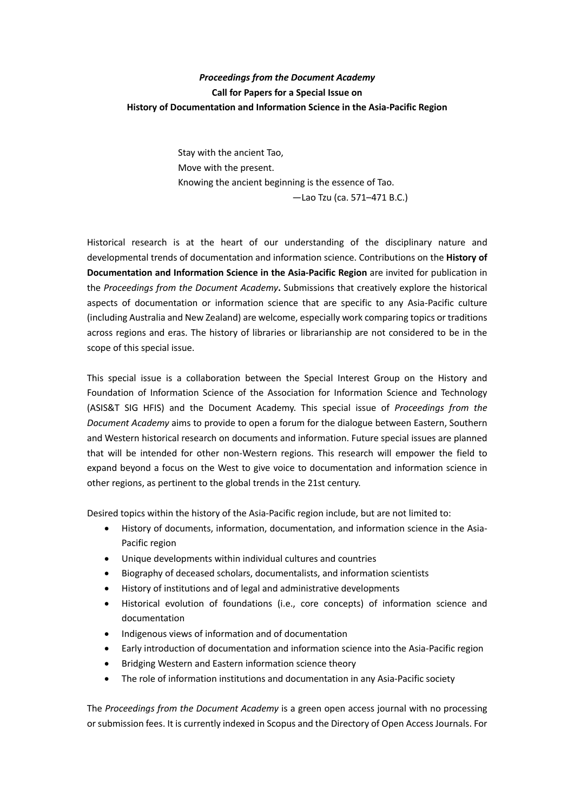## *Proceedings from the Document Academy* **Call for Papers for a Special Issue on History of Documentation and Information Science in the Asia-Pacific Region**

Stay with the ancient Tao, Move with the present. Knowing the ancient beginning is the essence of Tao. —Lao Tzu (ca. 571–471 B.C.)

Historical research is at the heart of our understanding of the disciplinary nature and developmental trends of documentation and information science. Contributions on the **History of Documentation and Information Science in the Asia-Pacific Region** are invited for publication in the *Proceedings from the Document Academy***.** Submissions that creatively explore the historical aspects of documentation or information science that are specific to any Asia-Pacific culture (including Australia and New Zealand) are welcome, especially work comparing topics or traditions across regions and eras. The history of libraries or librarianship are not considered to be in the scope of this special issue.

This special issue is a collaboration between the Special Interest Group on the History and Foundation of Information Science of the Association for Information Science and Technology (ASIS&T SIG HFIS) and the Document Academy. This special issue of *Proceedings from the Document Academy* aims to provide to open a forum for the dialogue between Eastern, Southern and Western historical research on documents and information. Future special issues are planned that will be intended for other non-Western regions. This research will empower the field to expand beyond a focus on the West to give voice to documentation and information science in other regions, as pertinent to the global trends in the 21st century.

Desired topics within the history of the Asia-Pacific region include, but are not limited to:

- History of documents, information, documentation, and information science in the Asia-Pacific region
- Unique developments within individual cultures and countries
- Biography of deceased scholars, documentalists, and information scientists
- History of institutions and of legal and administrative developments
- Historical evolution of foundations (i.e., core concepts) of information science and documentation
- Indigenous views of information and of documentation
- Early introduction of documentation and information science into the Asia-Pacific region
- Bridging Western and Eastern information science theory
- The role of information institutions and documentation in any Asia-Pacific society

The *Proceedings from the Document Academy* is a green open access journal with no processing or submission fees. It is currently indexed in Scopus and the Directory of Open Access Journals. For